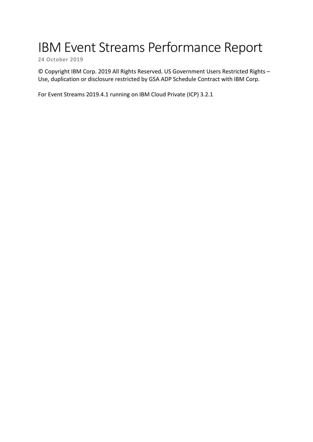# IBM Event Streams Performance Report

24 October 2019

© Copyright IBM Corp. 2019 All Rights Reserved. US Government Users Restricted Rights – Use, duplication or disclosure restricted by GSA ADP Schedule Contract with IBM Corp.

For Event Streams 2019.4.1 running on IBM Cloud Private (ICP) 3.2.1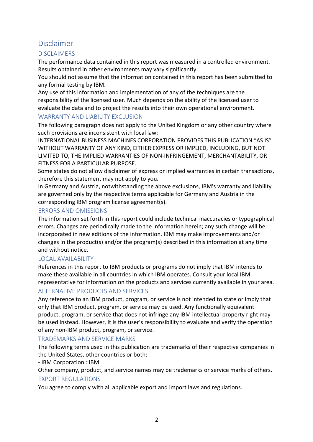## Disclaimer

#### **DISCLAIMERS**

The performance data contained in this report was measured in a controlled environment. Results obtained in other environments may vary significantly.

You should not assume that the information contained in this report has been submitted to any formal testing by IBM.

Any use of this information and implementation of any of the techniques are the responsibility of the licensed user. Much depends on the ability of the licensed user to evaluate the data and to project the results into their own operational environment.

#### WARRANTY AND LIABILITY EXCLUSION

The following paragraph does not apply to the United Kingdom or any other country where such provisions are inconsistent with local law:

INTERNATIONAL BUSINESS MACHINES CORPORATION PROVIDES THIS PUBLICATION "AS IS" WITHOUT WARRANTY OF ANY KIND, EITHER EXPRESS OR IMPLIED, INCLUDING, BUT NOT LIMITED TO, THE IMPLIED WARRANTIES OF NON-INFRINGEMENT, MERCHANTABILITY, OR FITNESS FOR A PARTICULAR PURPOSE.

Some states do not allow disclaimer of express or implied warranties in certain transactions, therefore this statement may not apply to you.

In Germany and Austria, notwithstanding the above exclusions, IBM's warranty and liability are governed only by the respective terms applicable for Germany and Austria in the corresponding IBM program license agreement(s).

#### ERRORS AND OMISSIONS

The information set forth in this report could include technical inaccuracies or typographical errors. Changes are periodically made to the information herein; any such change will be incorporated in new editions of the information. IBM may make improvements and/or changes in the product(s) and/or the program(s) described in this information at any time and without notice.

#### LOCAL AVAILABILITY

References in this report to IBM products or programs do not imply that IBM intends to make these available in all countries in which IBM operates. Consult your local IBM representative for information on the products and services currently available in your area.

#### ALTERNATIVE PRODUCTS AND SERVICES

Any reference to an IBM product, program, or service is not intended to state or imply that only that IBM product, program, or service may be used. Any functionally equivalent product, program, or service that does not infringe any IBM intellectual property right may be used instead. However, it is the user's responsibility to evaluate and verify the operation of any non-IBM product, program, or service.

#### TRADEMARKS AND SERVICE MARKS

The following terms used in this publication are trademarks of their respective companies in the United States, other countries or both:

#### - IBM Corporation : IBM

Other company, product, and service names may be trademarks or service marks of others.

#### EXPORT REGULATIONS

You agree to comply with all applicable export and import laws and regulations.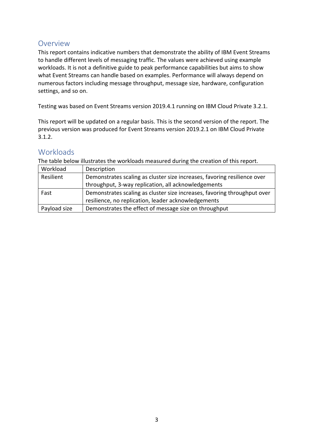## Overview

This report contains indicative numbers that demonstrate the ability of IBM Event Streams to handle different levels of messaging traffic. The values were achieved using example workloads. It is not a definitive guide to peak performance capabilities but aims to show what Event Streams can handle based on examples. Performance will always depend on numerous factors including message throughput, message size, hardware, configuration settings, and so on.

Testing was based on Event Streams version 2019.4.1 running on IBM Cloud Private 3.2.1.

This report will be updated on a regular basis. This is the second version of the report. The previous version was produced for Event Streams version 2019.2.1 on IBM Cloud Private 3.1.2.

## **Workloads**

The table below illustrates the workloads measured during the creation of this report.

| Workload     | Description                                                              |
|--------------|--------------------------------------------------------------------------|
| Resilient    | Demonstrates scaling as cluster size increases, favoring resilience over |
|              | throughput, 3-way replication, all acknowledgements                      |
| Fast         | Demonstrates scaling as cluster size increases, favoring throughput over |
|              | resilience, no replication, leader acknowledgements                      |
| Payload size | Demonstrates the effect of message size on throughput                    |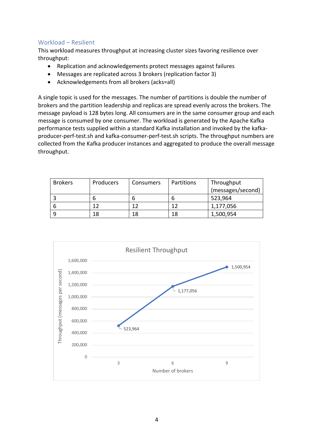#### Workload – Resilient

This workload measures throughput at increasing cluster sizes favoring resilience over throughput:

- Replication and acknowledgements protect messages against failures
- Messages are replicated across 3 brokers (replication factor 3)
- Acknowledgements from all brokers (acks=all)

A single topic is used for the messages. The number of partitions is double the number of brokers and the partition leadership and replicas are spread evenly across the brokers. The message payload is 128 bytes long. All consumers are in the same consumer group and each message is consumed by one consumer. The workload is generated by the Apache Kafka performance tests supplied within a standard Kafka installation and invoked by the kafkaproducer-perf-test.sh and kafka-consumer-perf-test.sh scripts. The throughput numbers are collected from the Kafka producer instances and aggregated to produce the overall message throughput.

| <b>Brokers</b> | <b>Producers</b> | Consumers | Partitions | Throughput        |
|----------------|------------------|-----------|------------|-------------------|
|                |                  |           |            | (messages/second) |
|                |                  |           |            | 523,964           |
| b              |                  | 1 ว       |            | 1,177,056         |
| a              | 18               | 18        | 18         | 1,500,954         |

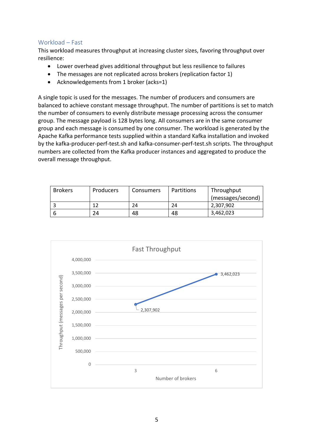#### Workload – Fast

This workload measures throughput at increasing cluster sizes, favoring throughput over resilience:

- Lower overhead gives additional throughput but less resilience to failures
- The messages are not replicated across brokers (replication factor 1)
- Acknowledgements from 1 broker (acks=1)

A single topic is used for the messages. The number of producers and consumers are balanced to achieve constant message throughput. The number of partitions is set to match the number of consumers to evenly distribute message processing across the consumer group. The message payload is 128 bytes long. All consumers are in the same consumer group and each message is consumed by one consumer. The workload is generated by the Apache Kafka performance tests supplied within a standard Kafka installation and invoked by the kafka-producer-perf-test.sh and kafka-consumer-perf-test.sh scripts. The throughput numbers are collected from the Kafka producer instances and aggregated to produce the overall message throughput.

| <b>Brokers</b> | <b>Producers</b> | <b>Consumers</b> | Partitions | Throughput        |
|----------------|------------------|------------------|------------|-------------------|
|                |                  |                  |            | (messages/second) |
|                |                  | 24               | 24         | 2,307,902         |
|                | 24               | 48               | 48         | 3,462,023         |

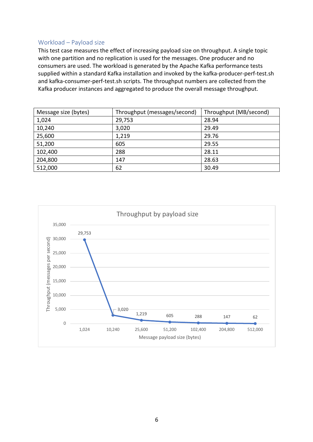#### Workload – Payload size

This test case measures the effect of increasing payload size on throughput. A single topic with one partition and no replication is used for the messages. One producer and no consumers are used. The workload is generated by the Apache Kafka performance tests supplied within a standard Kafka installation and invoked by the kafka-producer-perf-test.sh and kafka-consumer-perf-test.sh scripts. The throughput numbers are collected from the Kafka producer instances and aggregated to produce the overall message throughput.

| Message size (bytes) | Throughput (messages/second) | Throughput (MB/second) |
|----------------------|------------------------------|------------------------|
| 1,024                | 29,753                       | 28.94                  |
| 10,240               | 3,020                        | 29.49                  |
| 25,600               | 1,219                        | 29.76                  |
| 51,200               | 605                          | 29.55                  |
| 102,400              | 288                          | 28.11                  |
| 204,800              | 147                          | 28.63                  |
| 512,000              | 62                           | 30.49                  |

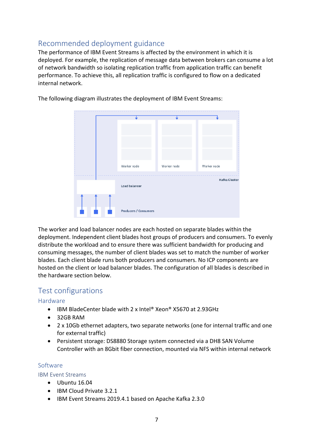# Recommended deployment guidance

The performance of IBM Event Streams is affected by the environment in which it is deployed. For example, the replication of message data between brokers can consume a lot of network bandwidth so isolating replication traffic from application traffic can benefit performance. To achieve this, all replication traffic is configured to flow on a dedicated internal network.



The following diagram illustrates the deployment of IBM Event Streams:

The worker and load balancer nodes are each hosted on separate blades within the deployment. Independent client blades host groups of producers and consumers. To evenly distribute the workload and to ensure there was sufficient bandwidth for producing and consuming messages, the number of client blades was set to match the number of worker blades. Each client blade runs both producers and consumers. No ICP components are hosted on the client or load balancer blades. The configuration of all blades is described in the hardware section below.

## Test configurations

#### Hardware

- IBM BladeCenter blade with 2 x Intel® Xeon® X5670 at 2.93GHz
- 32GB RAM
- 2 x 10Gb ethernet adapters, two separate networks (one for internal traffic and one for external traffic)
- Persistent storage: DS8880 Storage system connected via a DH8 SAN Volume Controller with an 8Gbit fiber connection, mounted via NFS within internal network

#### Software

#### IBM Event Streams

- Ubuntu 16.04
	- IBM Cloud Private 3.2.1
	- IBM Event Streams 2019.4.1 based on Apache Kafka 2.3.0